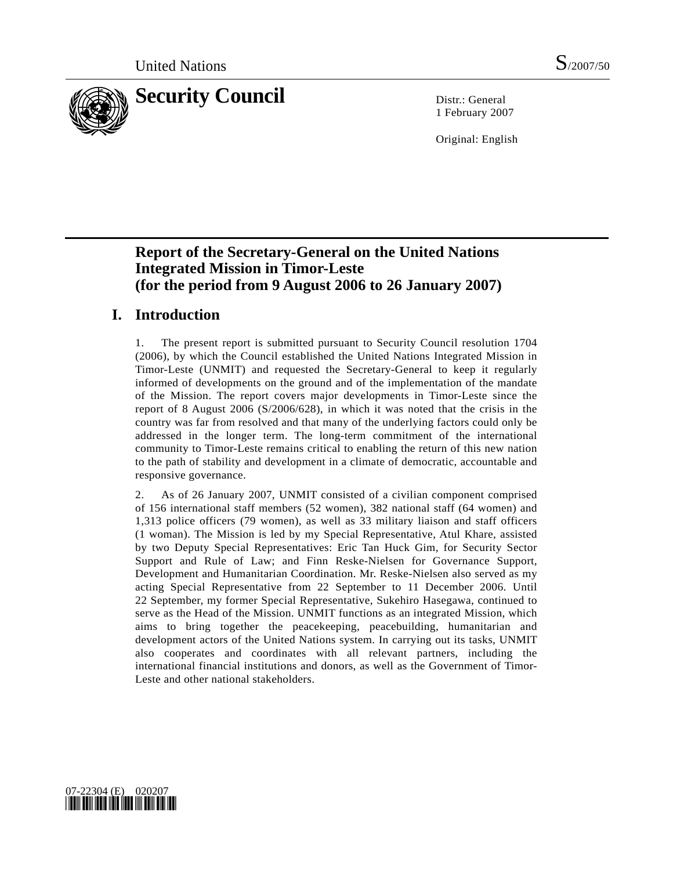

1 February 2007

Original: English

# **Report of the Secretary-General on the United Nations Integrated Mission in Timor-Leste (for the period from 9 August 2006 to 26 January 2007)**

# **I. Introduction**

1. The present report is submitted pursuant to Security Council resolution 1704 (2006), by which the Council established the United Nations Integrated Mission in Timor-Leste (UNMIT) and requested the Secretary-General to keep it regularly informed of developments on the ground and of the implementation of the mandate of the Mission. The report covers major developments in Timor-Leste since the report of 8 August 2006 (S/2006/628), in which it was noted that the crisis in the country was far from resolved and that many of the underlying factors could only be addressed in the longer term. The long-term commitment of the international community to Timor-Leste remains critical to enabling the return of this new nation to the path of stability and development in a climate of democratic, accountable and responsive governance.

2. As of 26 January 2007, UNMIT consisted of a civilian component comprised of 156 international staff members (52 women), 382 national staff (64 women) and 1,313 police officers (79 women), as well as 33 military liaison and staff officers (1 woman). The Mission is led by my Special Representative, Atul Khare, assisted by two Deputy Special Representatives: Eric Tan Huck Gim, for Security Sector Support and Rule of Law; and Finn Reske-Nielsen for Governance Support, Development and Humanitarian Coordination. Mr. Reske-Nielsen also served as my acting Special Representative from 22 September to 11 December 2006. Until 22 September, my former Special Representative, Sukehiro Hasegawa, continued to serve as the Head of the Mission. UNMIT functions as an integrated Mission, which aims to bring together the peacekeeping, peacebuilding, humanitarian and development actors of the United Nations system. In carrying out its tasks, UNMIT also cooperates and coordinates with all relevant partners, including the international financial institutions and donors, as well as the Government of Timor-Leste and other national stakeholders.

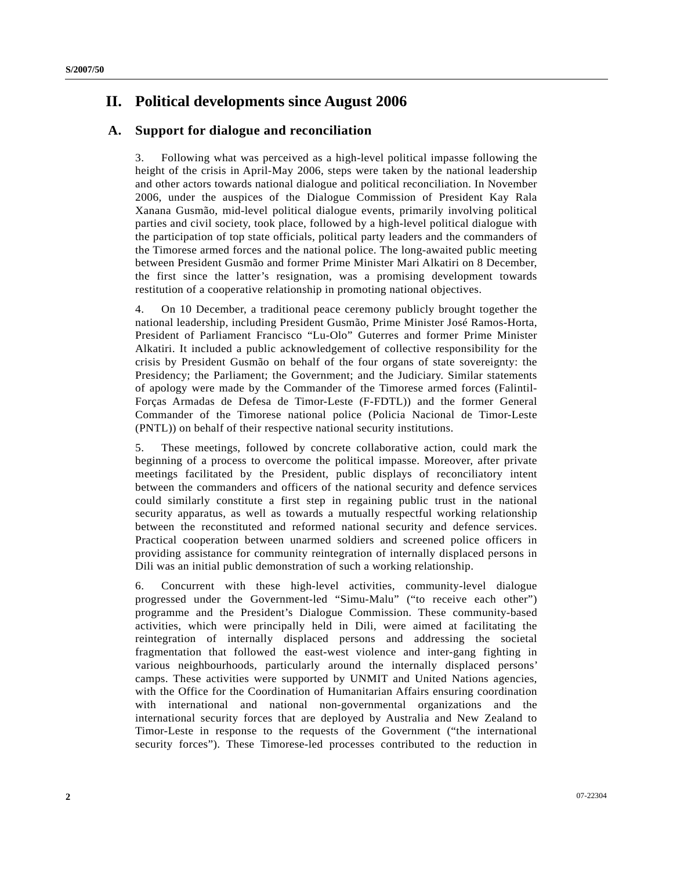# **II. Political developments since August 2006**

### **A. Support for dialogue and reconciliation**

3. Following what was perceived as a high-level political impasse following the height of the crisis in April-May 2006, steps were taken by the national leadership and other actors towards national dialogue and political reconciliation. In November 2006, under the auspices of the Dialogue Commission of President Kay Rala Xanana Gusmão, mid-level political dialogue events, primarily involving political parties and civil society, took place, followed by a high-level political dialogue with the participation of top state officials, political party leaders and the commanders of the Timorese armed forces and the national police. The long-awaited public meeting between President Gusmão and former Prime Minister Mari Alkatiri on 8 December, the first since the latter's resignation, was a promising development towards restitution of a cooperative relationship in promoting national objectives.

4. On 10 December, a traditional peace ceremony publicly brought together the national leadership, including President Gusmão, Prime Minister José Ramos-Horta, President of Parliament Francisco "Lu-Olo" Guterres and former Prime Minister Alkatiri. It included a public acknowledgement of collective responsibility for the crisis by President Gusmão on behalf of the four organs of state sovereignty: the Presidency; the Parliament; the Government; and the Judiciary. Similar statements of apology were made by the Commander of the Timorese armed forces (Falintil-Forças Armadas de Defesa de Timor-Leste (F-FDTL)) and the former General Commander of the Timorese national police (Policia Nacional de Timor-Leste (PNTL)) on behalf of their respective national security institutions.

5. These meetings, followed by concrete collaborative action, could mark the beginning of a process to overcome the political impasse. Moreover, after private meetings facilitated by the President, public displays of reconciliatory intent between the commanders and officers of the national security and defence services could similarly constitute a first step in regaining public trust in the national security apparatus, as well as towards a mutually respectful working relationship between the reconstituted and reformed national security and defence services. Practical cooperation between unarmed soldiers and screened police officers in providing assistance for community reintegration of internally displaced persons in Dili was an initial public demonstration of such a working relationship.

6. Concurrent with these high-level activities, community-level dialogue progressed under the Government-led "Simu-Malu" ("to receive each other") programme and the President's Dialogue Commission. These community-based activities, which were principally held in Dili, were aimed at facilitating the reintegration of internally displaced persons and addressing the societal fragmentation that followed the east-west violence and inter-gang fighting in various neighbourhoods, particularly around the internally displaced persons' camps. These activities were supported by UNMIT and United Nations agencies, with the Office for the Coordination of Humanitarian Affairs ensuring coordination with international and national non-governmental organizations and the international security forces that are deployed by Australia and New Zealand to Timor-Leste in response to the requests of the Government ("the international security forces"). These Timorese-led processes contributed to the reduction in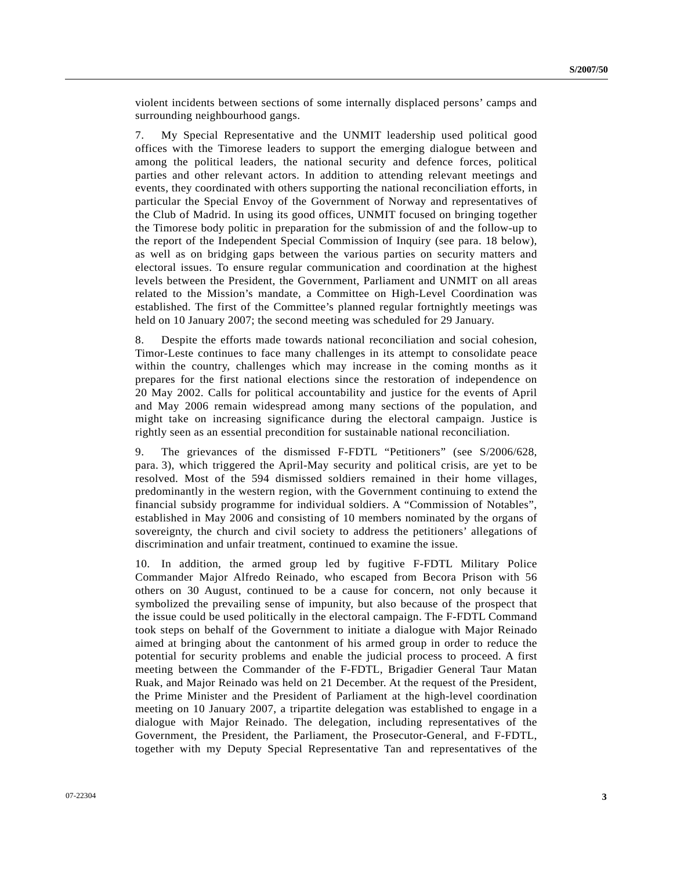violent incidents between sections of some internally displaced persons' camps and surrounding neighbourhood gangs.

7. My Special Representative and the UNMIT leadership used political good offices with the Timorese leaders to support the emerging dialogue between and among the political leaders, the national security and defence forces, political parties and other relevant actors. In addition to attending relevant meetings and events, they coordinated with others supporting the national reconciliation efforts, in particular the Special Envoy of the Government of Norway and representatives of the Club of Madrid. In using its good offices, UNMIT focused on bringing together the Timorese body politic in preparation for the submission of and the follow-up to the report of the Independent Special Commission of Inquiry (see para. 18 below), as well as on bridging gaps between the various parties on security matters and electoral issues. To ensure regular communication and coordination at the highest levels between the President, the Government, Parliament and UNMIT on all areas related to the Mission's mandate, a Committee on High-Level Coordination was established. The first of the Committee's planned regular fortnightly meetings was held on 10 January 2007; the second meeting was scheduled for 29 January.

8. Despite the efforts made towards national reconciliation and social cohesion, Timor-Leste continues to face many challenges in its attempt to consolidate peace within the country, challenges which may increase in the coming months as it prepares for the first national elections since the restoration of independence on 20 May 2002. Calls for political accountability and justice for the events of April and May 2006 remain widespread among many sections of the population, and might take on increasing significance during the electoral campaign. Justice is rightly seen as an essential precondition for sustainable national reconciliation.

9. The grievances of the dismissed F-FDTL "Petitioners" (see S/2006/628, para. 3), which triggered the April-May security and political crisis, are yet to be resolved. Most of the 594 dismissed soldiers remained in their home villages, predominantly in the western region, with the Government continuing to extend the financial subsidy programme for individual soldiers. A "Commission of Notables", established in May 2006 and consisting of 10 members nominated by the organs of sovereignty, the church and civil society to address the petitioners' allegations of discrimination and unfair treatment, continued to examine the issue.

10. In addition, the armed group led by fugitive F-FDTL Military Police Commander Major Alfredo Reinado, who escaped from Becora Prison with 56 others on 30 August, continued to be a cause for concern, not only because it symbolized the prevailing sense of impunity, but also because of the prospect that the issue could be used politically in the electoral campaign. The F-FDTL Command took steps on behalf of the Government to initiate a dialogue with Major Reinado aimed at bringing about the cantonment of his armed group in order to reduce the potential for security problems and enable the judicial process to proceed. A first meeting between the Commander of the F-FDTL, Brigadier General Taur Matan Ruak, and Major Reinado was held on 21 December. At the request of the President, the Prime Minister and the President of Parliament at the high-level coordination meeting on 10 January 2007, a tripartite delegation was established to engage in a dialogue with Major Reinado. The delegation, including representatives of the Government, the President, the Parliament, the Prosecutor-General, and F-FDTL, together with my Deputy Special Representative Tan and representatives of the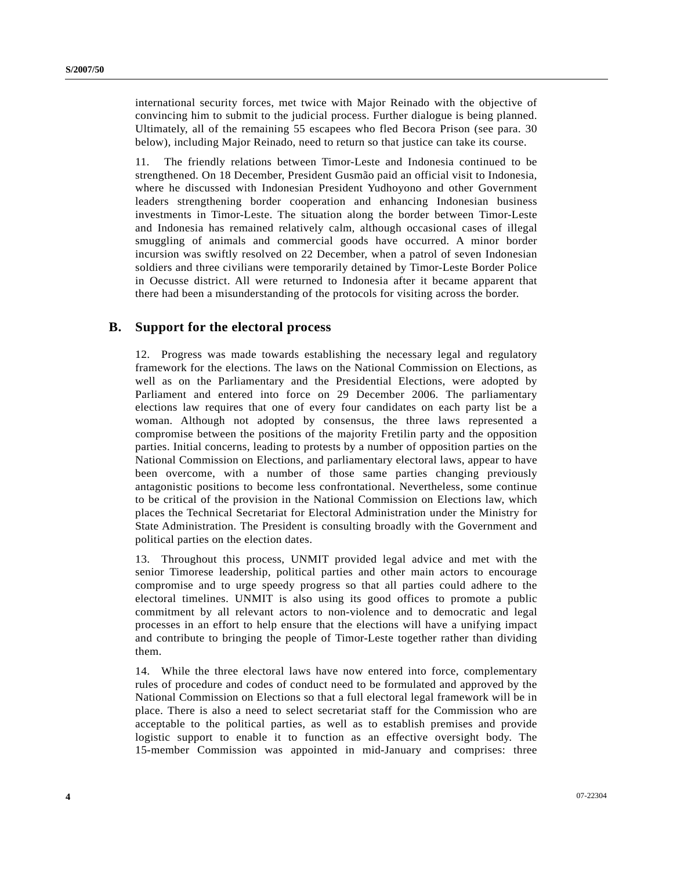international security forces, met twice with Major Reinado with the objective of convincing him to submit to the judicial process. Further dialogue is being planned. Ultimately, all of the remaining 55 escapees who fled Becora Prison (see para. 30 below), including Major Reinado, need to return so that justice can take its course.

11. The friendly relations between Timor-Leste and Indonesia continued to be strengthened. On 18 December, President Gusmão paid an official visit to Indonesia, where he discussed with Indonesian President Yudhoyono and other Government leaders strengthening border cooperation and enhancing Indonesian business investments in Timor-Leste. The situation along the border between Timor-Leste and Indonesia has remained relatively calm, although occasional cases of illegal smuggling of animals and commercial goods have occurred. A minor border incursion was swiftly resolved on 22 December, when a patrol of seven Indonesian soldiers and three civilians were temporarily detained by Timor-Leste Border Police in Oecusse district. All were returned to Indonesia after it became apparent that there had been a misunderstanding of the protocols for visiting across the border.

#### **B. Support for the electoral process**

12. Progress was made towards establishing the necessary legal and regulatory framework for the elections. The laws on the National Commission on Elections, as well as on the Parliamentary and the Presidential Elections, were adopted by Parliament and entered into force on 29 December 2006. The parliamentary elections law requires that one of every four candidates on each party list be a woman. Although not adopted by consensus, the three laws represented a compromise between the positions of the majority Fretilin party and the opposition parties. Initial concerns, leading to protests by a number of opposition parties on the National Commission on Elections, and parliamentary electoral laws, appear to have been overcome, with a number of those same parties changing previously antagonistic positions to become less confrontational. Nevertheless, some continue to be critical of the provision in the National Commission on Elections law, which places the Technical Secretariat for Electoral Administration under the Ministry for State Administration. The President is consulting broadly with the Government and political parties on the election dates.

13. Throughout this process, UNMIT provided legal advice and met with the senior Timorese leadership, political parties and other main actors to encourage compromise and to urge speedy progress so that all parties could adhere to the electoral timelines. UNMIT is also using its good offices to promote a public commitment by all relevant actors to non-violence and to democratic and legal processes in an effort to help ensure that the elections will have a unifying impact and contribute to bringing the people of Timor-Leste together rather than dividing them.

14. While the three electoral laws have now entered into force, complementary rules of procedure and codes of conduct need to be formulated and approved by the National Commission on Elections so that a full electoral legal framework will be in place. There is also a need to select secretariat staff for the Commission who are acceptable to the political parties, as well as to establish premises and provide logistic support to enable it to function as an effective oversight body. The 15-member Commission was appointed in mid-January and comprises: three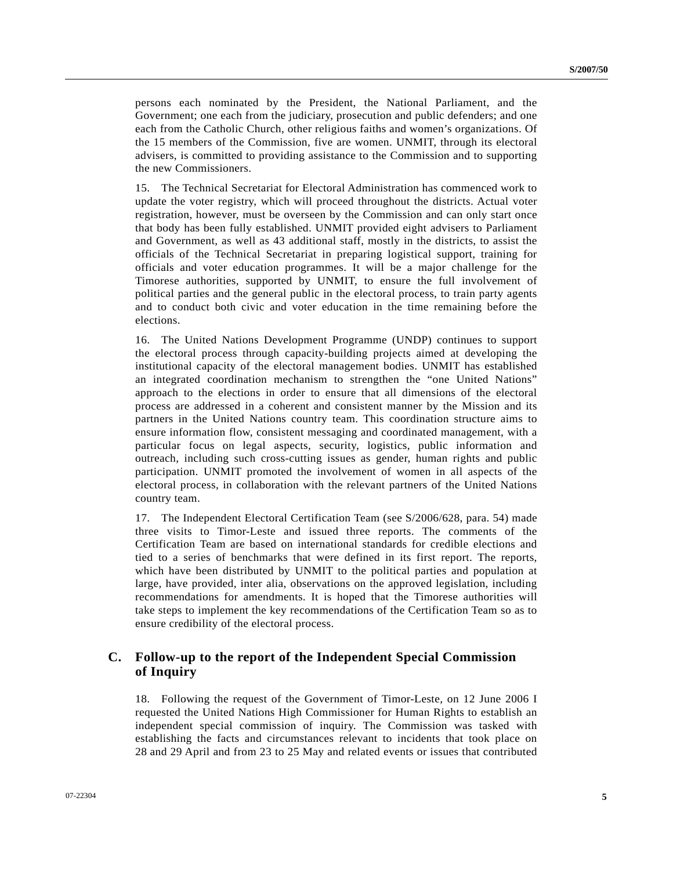persons each nominated by the President, the National Parliament, and the Government; one each from the judiciary, prosecution and public defenders; and one each from the Catholic Church, other religious faiths and women's organizations. Of the 15 members of the Commission, five are women. UNMIT, through its electoral advisers, is committed to providing assistance to the Commission and to supporting the new Commissioners.

15. The Technical Secretariat for Electoral Administration has commenced work to update the voter registry, which will proceed throughout the districts. Actual voter registration, however, must be overseen by the Commission and can only start once that body has been fully established. UNMIT provided eight advisers to Parliament and Government, as well as 43 additional staff, mostly in the districts, to assist the officials of the Technical Secretariat in preparing logistical support, training for officials and voter education programmes. It will be a major challenge for the Timorese authorities, supported by UNMIT, to ensure the full involvement of political parties and the general public in the electoral process, to train party agents and to conduct both civic and voter education in the time remaining before the elections.

16. The United Nations Development Programme (UNDP) continues to support the electoral process through capacity-building projects aimed at developing the institutional capacity of the electoral management bodies. UNMIT has established an integrated coordination mechanism to strengthen the "one United Nations" approach to the elections in order to ensure that all dimensions of the electoral process are addressed in a coherent and consistent manner by the Mission and its partners in the United Nations country team. This coordination structure aims to ensure information flow, consistent messaging and coordinated management, with a particular focus on legal aspects, security, logistics, public information and outreach, including such cross-cutting issues as gender, human rights and public participation. UNMIT promoted the involvement of women in all aspects of the electoral process, in collaboration with the relevant partners of the United Nations country team.

17. The Independent Electoral Certification Team (see S/2006/628, para. 54) made three visits to Timor-Leste and issued three reports. The comments of the Certification Team are based on international standards for credible elections and tied to a series of benchmarks that were defined in its first report. The reports, which have been distributed by UNMIT to the political parties and population at large, have provided, inter alia, observations on the approved legislation, including recommendations for amendments. It is hoped that the Timorese authorities will take steps to implement the key recommendations of the Certification Team so as to ensure credibility of the electoral process.

### **C. Follow-up to the report of the Independent Special Commission of Inquiry**

18. Following the request of the Government of Timor-Leste, on 12 June 2006 I requested the United Nations High Commissioner for Human Rights to establish an independent special commission of inquiry. The Commission was tasked with establishing the facts and circumstances relevant to incidents that took place on 28 and 29 April and from 23 to 25 May and related events or issues that contributed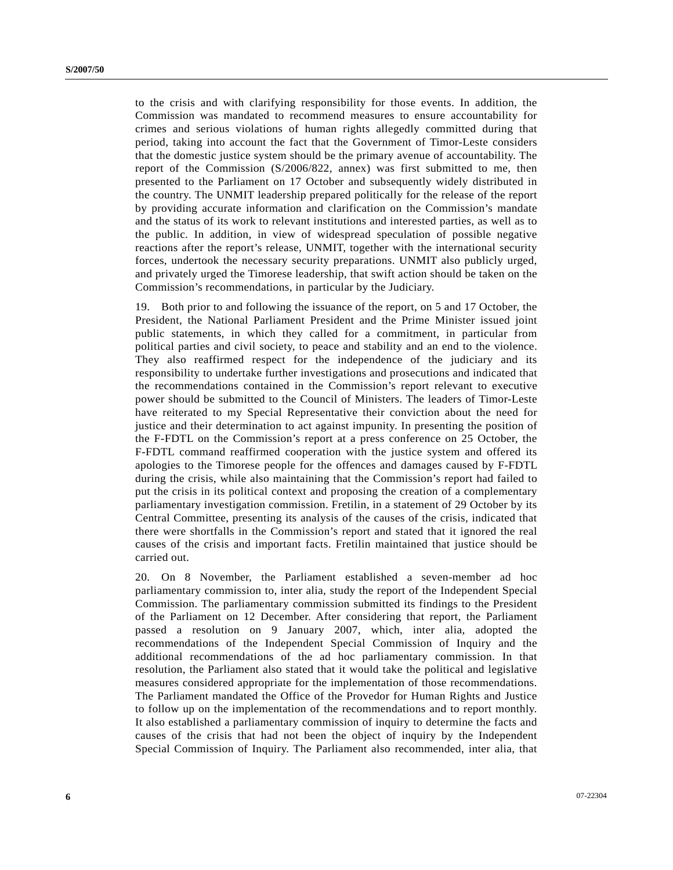to the crisis and with clarifying responsibility for those events. In addition, the Commission was mandated to recommend measures to ensure accountability for crimes and serious violations of human rights allegedly committed during that period, taking into account the fact that the Government of Timor-Leste considers that the domestic justice system should be the primary avenue of accountability. The report of the Commission (S/2006/822, annex) was first submitted to me, then presented to the Parliament on 17 October and subsequently widely distributed in the country. The UNMIT leadership prepared politically for the release of the report by providing accurate information and clarification on the Commission's mandate and the status of its work to relevant institutions and interested parties, as well as to the public. In addition, in view of widespread speculation of possible negative reactions after the report's release, UNMIT, together with the international security forces, undertook the necessary security preparations. UNMIT also publicly urged, and privately urged the Timorese leadership, that swift action should be taken on the Commission's recommendations, in particular by the Judiciary.

19. Both prior to and following the issuance of the report, on 5 and 17 October, the President, the National Parliament President and the Prime Minister issued joint public statements, in which they called for a commitment, in particular from political parties and civil society, to peace and stability and an end to the violence. They also reaffirmed respect for the independence of the judiciary and its responsibility to undertake further investigations and prosecutions and indicated that the recommendations contained in the Commission's report relevant to executive power should be submitted to the Council of Ministers. The leaders of Timor-Leste have reiterated to my Special Representative their conviction about the need for justice and their determination to act against impunity. In presenting the position of the F-FDTL on the Commission's report at a press conference on 25 October, the F-FDTL command reaffirmed cooperation with the justice system and offered its apologies to the Timorese people for the offences and damages caused by F-FDTL during the crisis, while also maintaining that the Commission's report had failed to put the crisis in its political context and proposing the creation of a complementary parliamentary investigation commission. Fretilin, in a statement of 29 October by its Central Committee, presenting its analysis of the causes of the crisis, indicated that there were shortfalls in the Commission's report and stated that it ignored the real causes of the crisis and important facts. Fretilin maintained that justice should be carried out.

20. On 8 November, the Parliament established a seven-member ad hoc parliamentary commission to, inter alia, study the report of the Independent Special Commission. The parliamentary commission submitted its findings to the President of the Parliament on 12 December. After considering that report, the Parliament passed a resolution on 9 January 2007, which, inter alia, adopted the recommendations of the Independent Special Commission of Inquiry and the additional recommendations of the ad hoc parliamentary commission. In that resolution, the Parliament also stated that it would take the political and legislative measures considered appropriate for the implementation of those recommendations. The Parliament mandated the Office of the Provedor for Human Rights and Justice to follow up on the implementation of the recommendations and to report monthly. It also established a parliamentary commission of inquiry to determine the facts and causes of the crisis that had not been the object of inquiry by the Independent Special Commission of Inquiry. The Parliament also recommended, inter alia, that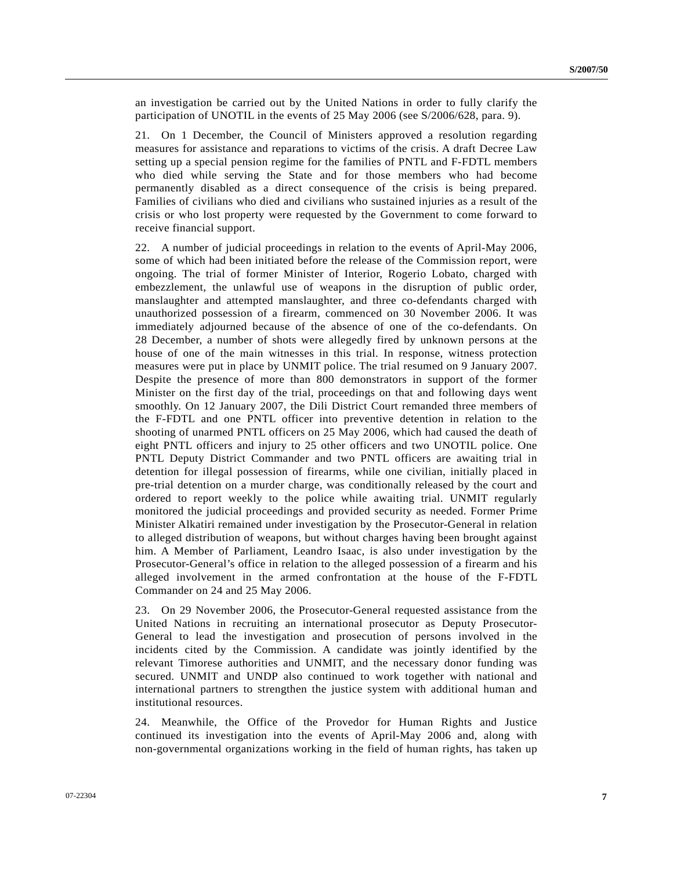an investigation be carried out by the United Nations in order to fully clarify the participation of UNOTIL in the events of 25 May 2006 (see S/2006/628, para. 9).

21. On 1 December, the Council of Ministers approved a resolution regarding measures for assistance and reparations to victims of the crisis. A draft Decree Law setting up a special pension regime for the families of PNTL and F-FDTL members who died while serving the State and for those members who had become permanently disabled as a direct consequence of the crisis is being prepared. Families of civilians who died and civilians who sustained injuries as a result of the crisis or who lost property were requested by the Government to come forward to receive financial support.

22. A number of judicial proceedings in relation to the events of April-May 2006, some of which had been initiated before the release of the Commission report, were ongoing. The trial of former Minister of Interior, Rogerio Lobato, charged with embezzlement, the unlawful use of weapons in the disruption of public order, manslaughter and attempted manslaughter, and three co-defendants charged with unauthorized possession of a firearm, commenced on 30 November 2006. It was immediately adjourned because of the absence of one of the co-defendants. On 28 December, a number of shots were allegedly fired by unknown persons at the house of one of the main witnesses in this trial. In response, witness protection measures were put in place by UNMIT police. The trial resumed on 9 January 2007. Despite the presence of more than 800 demonstrators in support of the former Minister on the first day of the trial, proceedings on that and following days went smoothly. On 12 January 2007, the Dili District Court remanded three members of the F-FDTL and one PNTL officer into preventive detention in relation to the shooting of unarmed PNTL officers on 25 May 2006, which had caused the death of eight PNTL officers and injury to 25 other officers and two UNOTIL police. One PNTL Deputy District Commander and two PNTL officers are awaiting trial in detention for illegal possession of firearms, while one civilian, initially placed in pre-trial detention on a murder charge, was conditionally released by the court and ordered to report weekly to the police while awaiting trial. UNMIT regularly monitored the judicial proceedings and provided security as needed. Former Prime Minister Alkatiri remained under investigation by the Prosecutor-General in relation to alleged distribution of weapons, but without charges having been brought against him. A Member of Parliament, Leandro Isaac, is also under investigation by the Prosecutor-General's office in relation to the alleged possession of a firearm and his alleged involvement in the armed confrontation at the house of the F-FDTL Commander on 24 and 25 May 2006.

23. On 29 November 2006, the Prosecutor-General requested assistance from the United Nations in recruiting an international prosecutor as Deputy Prosecutor-General to lead the investigation and prosecution of persons involved in the incidents cited by the Commission. A candidate was jointly identified by the relevant Timorese authorities and UNMIT, and the necessary donor funding was secured. UNMIT and UNDP also continued to work together with national and international partners to strengthen the justice system with additional human and institutional resources.

24. Meanwhile, the Office of the Provedor for Human Rights and Justice continued its investigation into the events of April-May 2006 and, along with non-governmental organizations working in the field of human rights, has taken up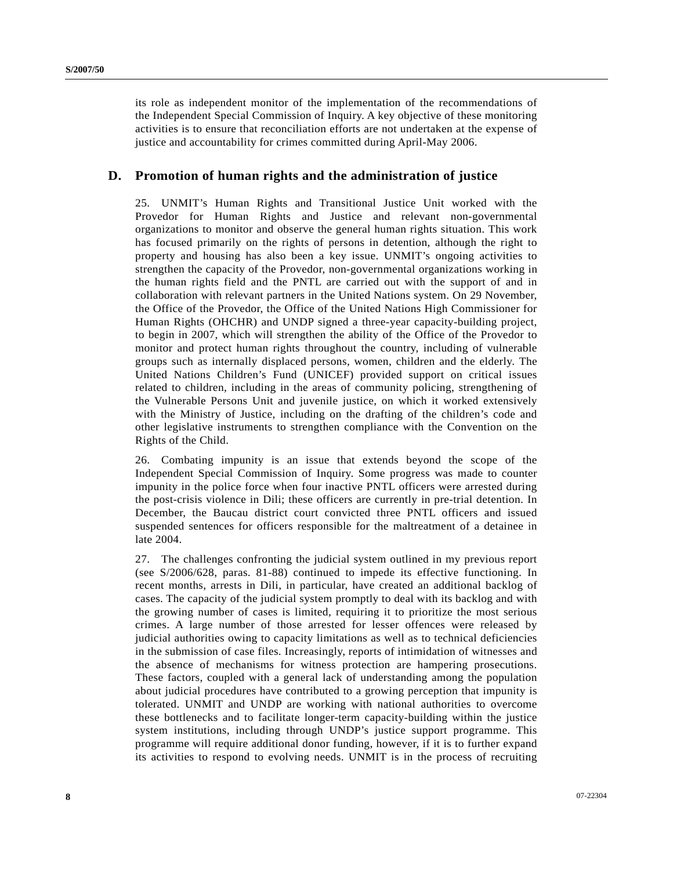its role as independent monitor of the implementation of the recommendations of the Independent Special Commission of Inquiry. A key objective of these monitoring activities is to ensure that reconciliation efforts are not undertaken at the expense of justice and accountability for crimes committed during April-May 2006.

### **D. Promotion of human rights and the administration of justice**

25. UNMIT's Human Rights and Transitional Justice Unit worked with the Provedor for Human Rights and Justice and relevant non-governmental organizations to monitor and observe the general human rights situation. This work has focused primarily on the rights of persons in detention, although the right to property and housing has also been a key issue. UNMIT's ongoing activities to strengthen the capacity of the Provedor, non-governmental organizations working in the human rights field and the PNTL are carried out with the support of and in collaboration with relevant partners in the United Nations system. On 29 November, the Office of the Provedor, the Office of the United Nations High Commissioner for Human Rights (OHCHR) and UNDP signed a three-year capacity-building project, to begin in 2007, which will strengthen the ability of the Office of the Provedor to monitor and protect human rights throughout the country, including of vulnerable groups such as internally displaced persons, women, children and the elderly. The United Nations Children's Fund (UNICEF) provided support on critical issues related to children, including in the areas of community policing, strengthening of the Vulnerable Persons Unit and juvenile justice, on which it worked extensively with the Ministry of Justice, including on the drafting of the children's code and other legislative instruments to strengthen compliance with the Convention on the Rights of the Child.

26. Combating impunity is an issue that extends beyond the scope of the Independent Special Commission of Inquiry. Some progress was made to counter impunity in the police force when four inactive PNTL officers were arrested during the post-crisis violence in Dili; these officers are currently in pre-trial detention. In December, the Baucau district court convicted three PNTL officers and issued suspended sentences for officers responsible for the maltreatment of a detainee in late 2004.

27. The challenges confronting the judicial system outlined in my previous report (see S/2006/628, paras. 81-88) continued to impede its effective functioning. In recent months, arrests in Dili, in particular, have created an additional backlog of cases. The capacity of the judicial system promptly to deal with its backlog and with the growing number of cases is limited, requiring it to prioritize the most serious crimes. A large number of those arrested for lesser offences were released by judicial authorities owing to capacity limitations as well as to technical deficiencies in the submission of case files. Increasingly, reports of intimidation of witnesses and the absence of mechanisms for witness protection are hampering prosecutions. These factors, coupled with a general lack of understanding among the population about judicial procedures have contributed to a growing perception that impunity is tolerated. UNMIT and UNDP are working with national authorities to overcome these bottlenecks and to facilitate longer-term capacity-building within the justice system institutions, including through UNDP's justice support programme. This programme will require additional donor funding, however, if it is to further expand its activities to respond to evolving needs. UNMIT is in the process of recruiting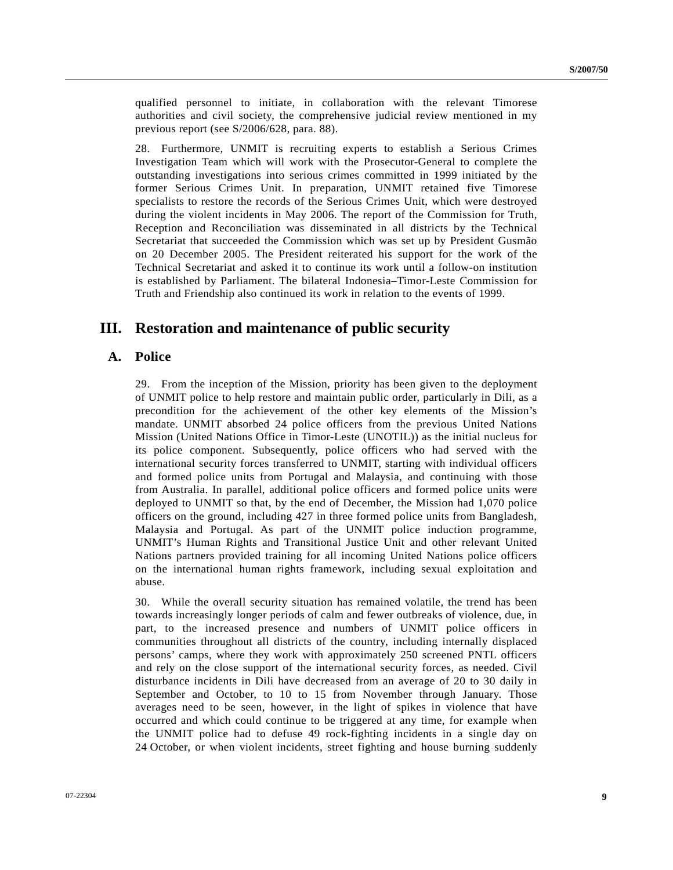qualified personnel to initiate, in collaboration with the relevant Timorese authorities and civil society, the comprehensive judicial review mentioned in my previous report (see S/2006/628, para. 88).

28. Furthermore, UNMIT is recruiting experts to establish a Serious Crimes Investigation Team which will work with the Prosecutor-General to complete the outstanding investigations into serious crimes committed in 1999 initiated by the former Serious Crimes Unit. In preparation, UNMIT retained five Timorese specialists to restore the records of the Serious Crimes Unit, which were destroyed during the violent incidents in May 2006. The report of the Commission for Truth, Reception and Reconciliation was disseminated in all districts by the Technical Secretariat that succeeded the Commission which was set up by President Gusmão on 20 December 2005. The President reiterated his support for the work of the Technical Secretariat and asked it to continue its work until a follow-on institution is established by Parliament. The bilateral Indonesia–Timor-Leste Commission for Truth and Friendship also continued its work in relation to the events of 1999.

## **III. Restoration and maintenance of public security**

#### **A. Police**

29. From the inception of the Mission, priority has been given to the deployment of UNMIT police to help restore and maintain public order, particularly in Dili, as a precondition for the achievement of the other key elements of the Mission's mandate. UNMIT absorbed 24 police officers from the previous United Nations Mission (United Nations Office in Timor-Leste (UNOTIL)) as the initial nucleus for its police component. Subsequently, police officers who had served with the international security forces transferred to UNMIT, starting with individual officers and formed police units from Portugal and Malaysia, and continuing with those from Australia. In parallel, additional police officers and formed police units were deployed to UNMIT so that, by the end of December, the Mission had 1,070 police officers on the ground, including 427 in three formed police units from Bangladesh, Malaysia and Portugal. As part of the UNMIT police induction programme, UNMIT's Human Rights and Transitional Justice Unit and other relevant United Nations partners provided training for all incoming United Nations police officers on the international human rights framework, including sexual exploitation and abuse.

30. While the overall security situation has remained volatile, the trend has been towards increasingly longer periods of calm and fewer outbreaks of violence, due, in part, to the increased presence and numbers of UNMIT police officers in communities throughout all districts of the country, including internally displaced persons' camps, where they work with approximately 250 screened PNTL officers and rely on the close support of the international security forces, as needed. Civil disturbance incidents in Dili have decreased from an average of 20 to 30 daily in September and October, to 10 to 15 from November through January. Those averages need to be seen, however, in the light of spikes in violence that have occurred and which could continue to be triggered at any time, for example when the UNMIT police had to defuse 49 rock-fighting incidents in a single day on 24 October, or when violent incidents, street fighting and house burning suddenly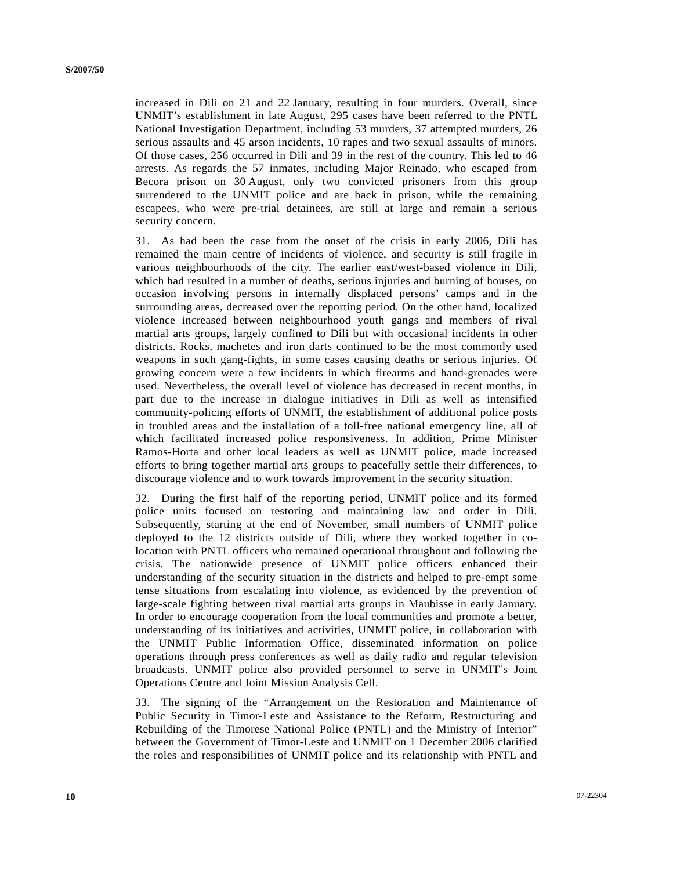increased in Dili on 21 and 22 January, resulting in four murders. Overall, since UNMIT's establishment in late August, 295 cases have been referred to the PNTL National Investigation Department, including 53 murders, 37 attempted murders, 26 serious assaults and 45 arson incidents, 10 rapes and two sexual assaults of minors. Of those cases, 256 occurred in Dili and 39 in the rest of the country. This led to 46 arrests. As regards the 57 inmates, including Major Reinado, who escaped from Becora prison on 30 August, only two convicted prisoners from this group surrendered to the UNMIT police and are back in prison, while the remaining escapees, who were pre-trial detainees, are still at large and remain a serious security concern.

31. As had been the case from the onset of the crisis in early 2006, Dili has remained the main centre of incidents of violence, and security is still fragile in various neighbourhoods of the city. The earlier east/west-based violence in Dili, which had resulted in a number of deaths, serious injuries and burning of houses, on occasion involving persons in internally displaced persons' camps and in the surrounding areas, decreased over the reporting period. On the other hand, localized violence increased between neighbourhood youth gangs and members of rival martial arts groups, largely confined to Dili but with occasional incidents in other districts. Rocks, machetes and iron darts continued to be the most commonly used weapons in such gang-fights, in some cases causing deaths or serious injuries. Of growing concern were a few incidents in which firearms and hand-grenades were used. Nevertheless, the overall level of violence has decreased in recent months, in part due to the increase in dialogue initiatives in Dili as well as intensified community-policing efforts of UNMIT, the establishment of additional police posts in troubled areas and the installation of a toll-free national emergency line, all of which facilitated increased police responsiveness. In addition, Prime Minister Ramos-Horta and other local leaders as well as UNMIT police, made increased efforts to bring together martial arts groups to peacefully settle their differences, to discourage violence and to work towards improvement in the security situation.

32. During the first half of the reporting period, UNMIT police and its formed police units focused on restoring and maintaining law and order in Dili. Subsequently, starting at the end of November, small numbers of UNMIT police deployed to the 12 districts outside of Dili, where they worked together in colocation with PNTL officers who remained operational throughout and following the crisis. The nationwide presence of UNMIT police officers enhanced their understanding of the security situation in the districts and helped to pre-empt some tense situations from escalating into violence, as evidenced by the prevention of large-scale fighting between rival martial arts groups in Maubisse in early January. In order to encourage cooperation from the local communities and promote a better, understanding of its initiatives and activities, UNMIT police, in collaboration with the UNMIT Public Information Office, disseminated information on police operations through press conferences as well as daily radio and regular television broadcasts. UNMIT police also provided personnel to serve in UNMIT's Joint Operations Centre and Joint Mission Analysis Cell.

33. The signing of the "Arrangement on the Restoration and Maintenance of Public Security in Timor-Leste and Assistance to the Reform, Restructuring and Rebuilding of the Timorese National Police (PNTL) and the Ministry of Interior" between the Government of Timor-Leste and UNMIT on 1 December 2006 clarified the roles and responsibilities of UNMIT police and its relationship with PNTL and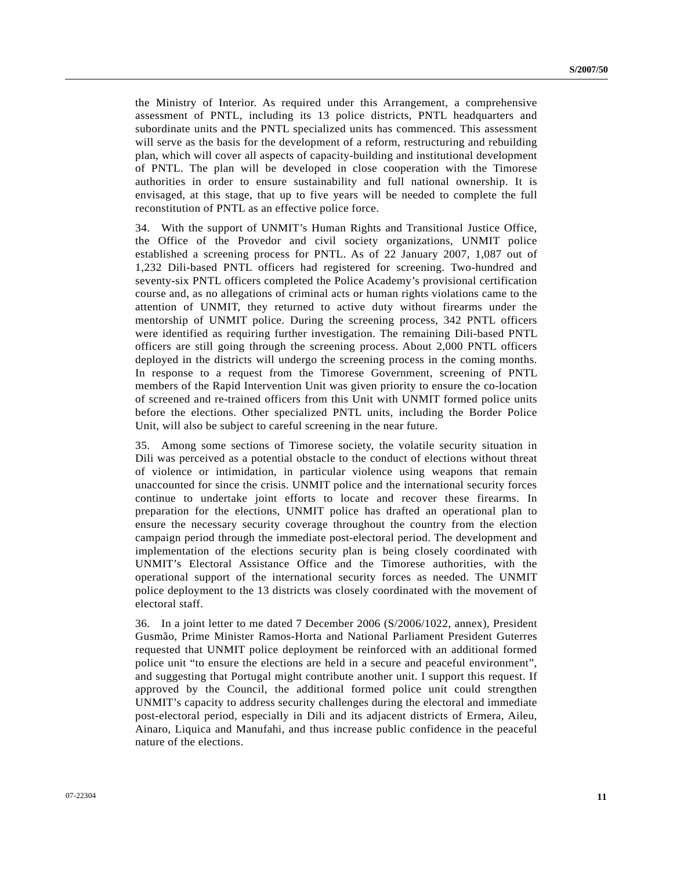the Ministry of Interior. As required under this Arrangement, a comprehensive assessment of PNTL, including its 13 police districts, PNTL headquarters and subordinate units and the PNTL specialized units has commenced. This assessment will serve as the basis for the development of a reform, restructuring and rebuilding plan, which will cover all aspects of capacity-building and institutional development of PNTL. The plan will be developed in close cooperation with the Timorese authorities in order to ensure sustainability and full national ownership. It is envisaged, at this stage, that up to five years will be needed to complete the full reconstitution of PNTL as an effective police force.

34. With the support of UNMIT's Human Rights and Transitional Justice Office, the Office of the Provedor and civil society organizations, UNMIT police established a screening process for PNTL. As of 22 January 2007, 1,087 out of 1,232 Dili-based PNTL officers had registered for screening. Two-hundred and seventy-six PNTL officers completed the Police Academy's provisional certification course and, as no allegations of criminal acts or human rights violations came to the attention of UNMIT, they returned to active duty without firearms under the mentorship of UNMIT police. During the screening process, 342 PNTL officers were identified as requiring further investigation. The remaining Dili-based PNTL officers are still going through the screening process. About 2,000 PNTL officers deployed in the districts will undergo the screening process in the coming months. In response to a request from the Timorese Government, screening of PNTL members of the Rapid Intervention Unit was given priority to ensure the co-location of screened and re-trained officers from this Unit with UNMIT formed police units before the elections. Other specialized PNTL units, including the Border Police Unit, will also be subject to careful screening in the near future.

35. Among some sections of Timorese society, the volatile security situation in Dili was perceived as a potential obstacle to the conduct of elections without threat of violence or intimidation, in particular violence using weapons that remain unaccounted for since the crisis. UNMIT police and the international security forces continue to undertake joint efforts to locate and recover these firearms. In preparation for the elections, UNMIT police has drafted an operational plan to ensure the necessary security coverage throughout the country from the election campaign period through the immediate post-electoral period. The development and implementation of the elections security plan is being closely coordinated with UNMIT's Electoral Assistance Office and the Timorese authorities, with the operational support of the international security forces as needed. The UNMIT police deployment to the 13 districts was closely coordinated with the movement of electoral staff.

36. In a joint letter to me dated 7 December 2006 (S/2006/1022, annex), President Gusmão, Prime Minister Ramos-Horta and National Parliament President Guterres requested that UNMIT police deployment be reinforced with an additional formed police unit "to ensure the elections are held in a secure and peaceful environment", and suggesting that Portugal might contribute another unit. I support this request. If approved by the Council, the additional formed police unit could strengthen UNMIT's capacity to address security challenges during the electoral and immediate post-electoral period, especially in Dili and its adjacent districts of Ermera, Aileu, Ainaro, Liquica and Manufahi, and thus increase public confidence in the peaceful nature of the elections.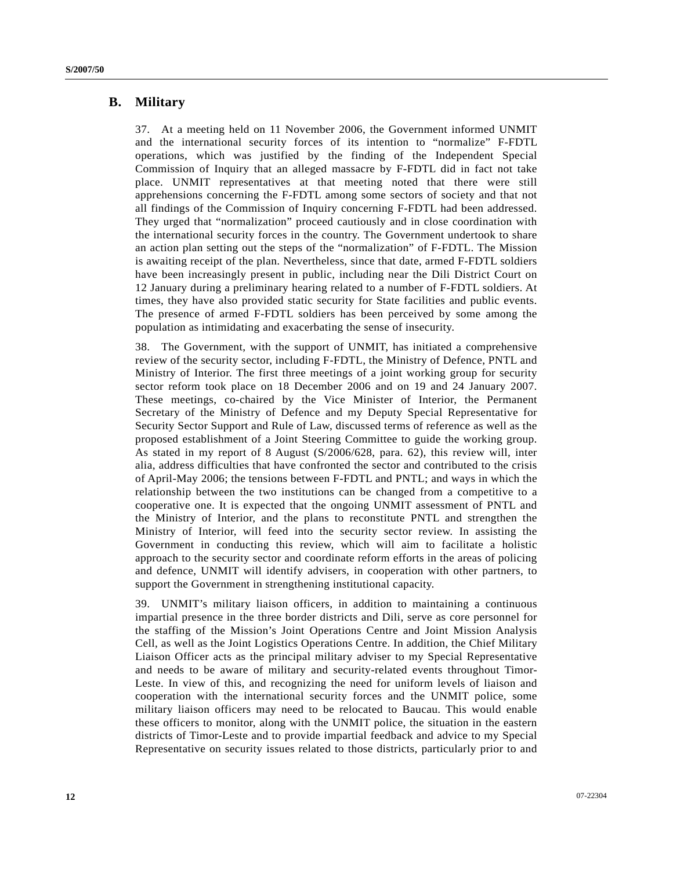#### **B. Military**

37. At a meeting held on 11 November 2006, the Government informed UNMIT and the international security forces of its intention to "normalize" F-FDTL operations, which was justified by the finding of the Independent Special Commission of Inquiry that an alleged massacre by F-FDTL did in fact not take place. UNMIT representatives at that meeting noted that there were still apprehensions concerning the F-FDTL among some sectors of society and that not all findings of the Commission of Inquiry concerning F-FDTL had been addressed. They urged that "normalization" proceed cautiously and in close coordination with the international security forces in the country. The Government undertook to share an action plan setting out the steps of the "normalization" of F-FDTL. The Mission is awaiting receipt of the plan. Nevertheless, since that date, armed F-FDTL soldiers have been increasingly present in public, including near the Dili District Court on 12 January during a preliminary hearing related to a number of F-FDTL soldiers. At times, they have also provided static security for State facilities and public events. The presence of armed F-FDTL soldiers has been perceived by some among the population as intimidating and exacerbating the sense of insecurity.

38. The Government, with the support of UNMIT, has initiated a comprehensive review of the security sector, including F-FDTL, the Ministry of Defence, PNTL and Ministry of Interior. The first three meetings of a joint working group for security sector reform took place on 18 December 2006 and on 19 and 24 January 2007. These meetings, co-chaired by the Vice Minister of Interior, the Permanent Secretary of the Ministry of Defence and my Deputy Special Representative for Security Sector Support and Rule of Law, discussed terms of reference as well as the proposed establishment of a Joint Steering Committee to guide the working group. As stated in my report of 8 August (S/2006/628, para. 62), this review will, inter alia, address difficulties that have confronted the sector and contributed to the crisis of April-May 2006; the tensions between F-FDTL and PNTL; and ways in which the relationship between the two institutions can be changed from a competitive to a cooperative one. It is expected that the ongoing UNMIT assessment of PNTL and the Ministry of Interior, and the plans to reconstitute PNTL and strengthen the Ministry of Interior, will feed into the security sector review. In assisting the Government in conducting this review, which will aim to facilitate a holistic approach to the security sector and coordinate reform efforts in the areas of policing and defence, UNMIT will identify advisers, in cooperation with other partners, to support the Government in strengthening institutional capacity.

39. UNMIT's military liaison officers, in addition to maintaining a continuous impartial presence in the three border districts and Dili, serve as core personnel for the staffing of the Mission's Joint Operations Centre and Joint Mission Analysis Cell, as well as the Joint Logistics Operations Centre. In addition, the Chief Military Liaison Officer acts as the principal military adviser to my Special Representative and needs to be aware of military and security-related events throughout Timor-Leste. In view of this, and recognizing the need for uniform levels of liaison and cooperation with the international security forces and the UNMIT police, some military liaison officers may need to be relocated to Baucau. This would enable these officers to monitor, along with the UNMIT police, the situation in the eastern districts of Timor-Leste and to provide impartial feedback and advice to my Special Representative on security issues related to those districts, particularly prior to and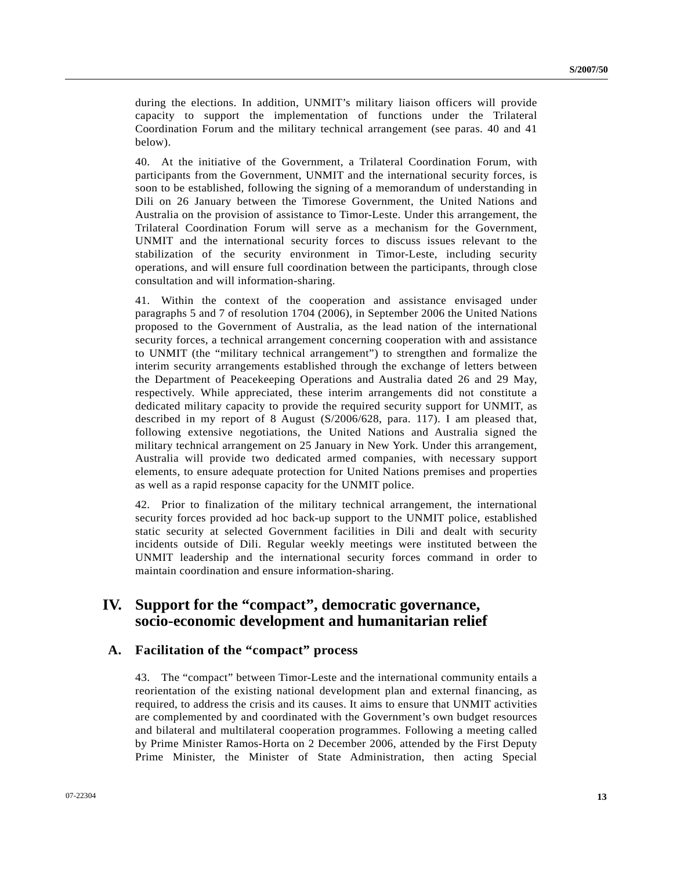during the elections. In addition, UNMIT's military liaison officers will provide capacity to support the implementation of functions under the Trilateral Coordination Forum and the military technical arrangement (see paras. 40 and 41 below).

40. At the initiative of the Government, a Trilateral Coordination Forum, with participants from the Government, UNMIT and the international security forces, is soon to be established, following the signing of a memorandum of understanding in Dili on 26 January between the Timorese Government, the United Nations and Australia on the provision of assistance to Timor-Leste. Under this arrangement, the Trilateral Coordination Forum will serve as a mechanism for the Government, UNMIT and the international security forces to discuss issues relevant to the stabilization of the security environment in Timor-Leste, including security operations, and will ensure full coordination between the participants, through close consultation and will information-sharing.

41. Within the context of the cooperation and assistance envisaged under paragraphs 5 and 7 of resolution 1704 (2006), in September 2006 the United Nations proposed to the Government of Australia, as the lead nation of the international security forces, a technical arrangement concerning cooperation with and assistance to UNMIT (the "military technical arrangement") to strengthen and formalize the interim security arrangements established through the exchange of letters between the Department of Peacekeeping Operations and Australia dated 26 and 29 May, respectively. While appreciated, these interim arrangements did not constitute a dedicated military capacity to provide the required security support for UNMIT, as described in my report of 8 August (S/2006/628, para. 117). I am pleased that, following extensive negotiations, the United Nations and Australia signed the military technical arrangement on 25 January in New York. Under this arrangement, Australia will provide two dedicated armed companies, with necessary support elements, to ensure adequate protection for United Nations premises and properties as well as a rapid response capacity for the UNMIT police.

42. Prior to finalization of the military technical arrangement, the international security forces provided ad hoc back-up support to the UNMIT police, established static security at selected Government facilities in Dili and dealt with security incidents outside of Dili. Regular weekly meetings were instituted between the UNMIT leadership and the international security forces command in order to maintain coordination and ensure information-sharing.

## **IV. Support for the "compact", democratic governance, socio-economic development and humanitarian relief**

#### **A. Facilitation of the "compact" process**

43. The "compact" between Timor-Leste and the international community entails a reorientation of the existing national development plan and external financing, as required, to address the crisis and its causes. It aims to ensure that UNMIT activities are complemented by and coordinated with the Government's own budget resources and bilateral and multilateral cooperation programmes. Following a meeting called by Prime Minister Ramos-Horta on 2 December 2006, attended by the First Deputy Prime Minister, the Minister of State Administration, then acting Special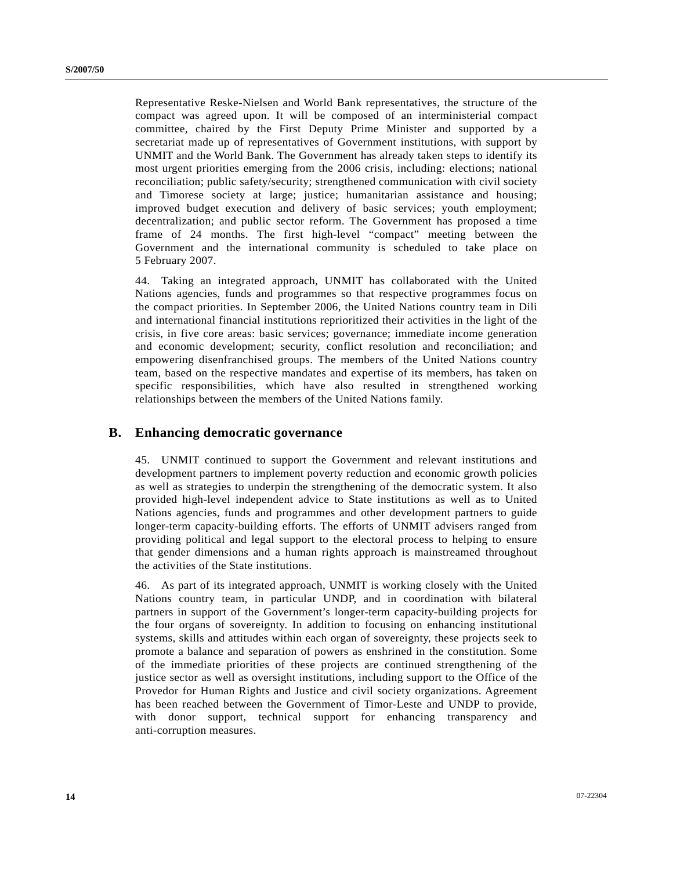Representative Reske-Nielsen and World Bank representatives, the structure of the compact was agreed upon. It will be composed of an interministerial compact committee, chaired by the First Deputy Prime Minister and supported by a secretariat made up of representatives of Government institutions, with support by UNMIT and the World Bank. The Government has already taken steps to identify its most urgent priorities emerging from the 2006 crisis, including: elections; national reconciliation; public safety/security; strengthened communication with civil society and Timorese society at large; justice; humanitarian assistance and housing; improved budget execution and delivery of basic services; youth employment; decentralization; and public sector reform. The Government has proposed a time frame of 24 months. The first high-level "compact" meeting between the Government and the international community is scheduled to take place on 5 February 2007.

44. Taking an integrated approach, UNMIT has collaborated with the United Nations agencies, funds and programmes so that respective programmes focus on the compact priorities. In September 2006, the United Nations country team in Dili and international financial institutions reprioritized their activities in the light of the crisis, in five core areas: basic services; governance; immediate income generation and economic development; security, conflict resolution and reconciliation; and empowering disenfranchised groups. The members of the United Nations country team, based on the respective mandates and expertise of its members, has taken on specific responsibilities, which have also resulted in strengthened working relationships between the members of the United Nations family.

### **B. Enhancing democratic governance**

45. UNMIT continued to support the Government and relevant institutions and development partners to implement poverty reduction and economic growth policies as well as strategies to underpin the strengthening of the democratic system. It also provided high-level independent advice to State institutions as well as to United Nations agencies, funds and programmes and other development partners to guide longer-term capacity-building efforts. The efforts of UNMIT advisers ranged from providing political and legal support to the electoral process to helping to ensure that gender dimensions and a human rights approach is mainstreamed throughout the activities of the State institutions.

46. As part of its integrated approach, UNMIT is working closely with the United Nations country team, in particular UNDP, and in coordination with bilateral partners in support of the Government's longer-term capacity-building projects for the four organs of sovereignty. In addition to focusing on enhancing institutional systems, skills and attitudes within each organ of sovereignty, these projects seek to promote a balance and separation of powers as enshrined in the constitution. Some of the immediate priorities of these projects are continued strengthening of the justice sector as well as oversight institutions, including support to the Office of the Provedor for Human Rights and Justice and civil society organizations. Agreement has been reached between the Government of Timor-Leste and UNDP to provide, with donor support, technical support for enhancing transparency and anti-corruption measures.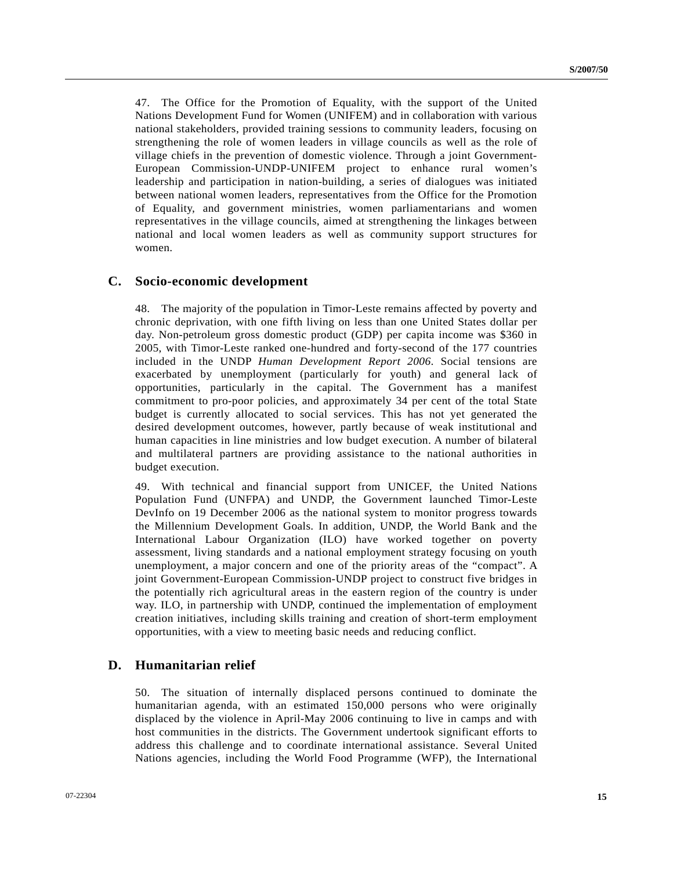47. The Office for the Promotion of Equality, with the support of the United Nations Development Fund for Women (UNIFEM) and in collaboration with various national stakeholders, provided training sessions to community leaders, focusing on strengthening the role of women leaders in village councils as well as the role of village chiefs in the prevention of domestic violence. Through a joint Government-European Commission-UNDP-UNIFEM project to enhance rural women's leadership and participation in nation-building, a series of dialogues was initiated between national women leaders, representatives from the Office for the Promotion of Equality, and government ministries, women parliamentarians and women representatives in the village councils, aimed at strengthening the linkages between national and local women leaders as well as community support structures for women.

#### **C. Socio-economic development**

48. The majority of the population in Timor-Leste remains affected by poverty and chronic deprivation, with one fifth living on less than one United States dollar per day. Non-petroleum gross domestic product (GDP) per capita income was \$360 in 2005, with Timor-Leste ranked one-hundred and forty-second of the 177 countries included in the UNDP *Human Development Report 2006*. Social tensions are exacerbated by unemployment (particularly for youth) and general lack of opportunities, particularly in the capital. The Government has a manifest commitment to pro-poor policies, and approximately 34 per cent of the total State budget is currently allocated to social services. This has not yet generated the desired development outcomes, however, partly because of weak institutional and human capacities in line ministries and low budget execution. A number of bilateral and multilateral partners are providing assistance to the national authorities in budget execution.

49. With technical and financial support from UNICEF, the United Nations Population Fund (UNFPA) and UNDP, the Government launched Timor-Leste DevInfo on 19 December 2006 as the national system to monitor progress towards the Millennium Development Goals. In addition, UNDP, the World Bank and the International Labour Organization (ILO) have worked together on poverty assessment, living standards and a national employment strategy focusing on youth unemployment, a major concern and one of the priority areas of the "compact". A joint Government-European Commission-UNDP project to construct five bridges in the potentially rich agricultural areas in the eastern region of the country is under way. ILO, in partnership with UNDP, continued the implementation of employment creation initiatives, including skills training and creation of short-term employment opportunities, with a view to meeting basic needs and reducing conflict.

#### **D. Humanitarian relief**

50. The situation of internally displaced persons continued to dominate the humanitarian agenda, with an estimated 150,000 persons who were originally displaced by the violence in April-May 2006 continuing to live in camps and with host communities in the districts. The Government undertook significant efforts to address this challenge and to coordinate international assistance. Several United Nations agencies, including the World Food Programme (WFP), the International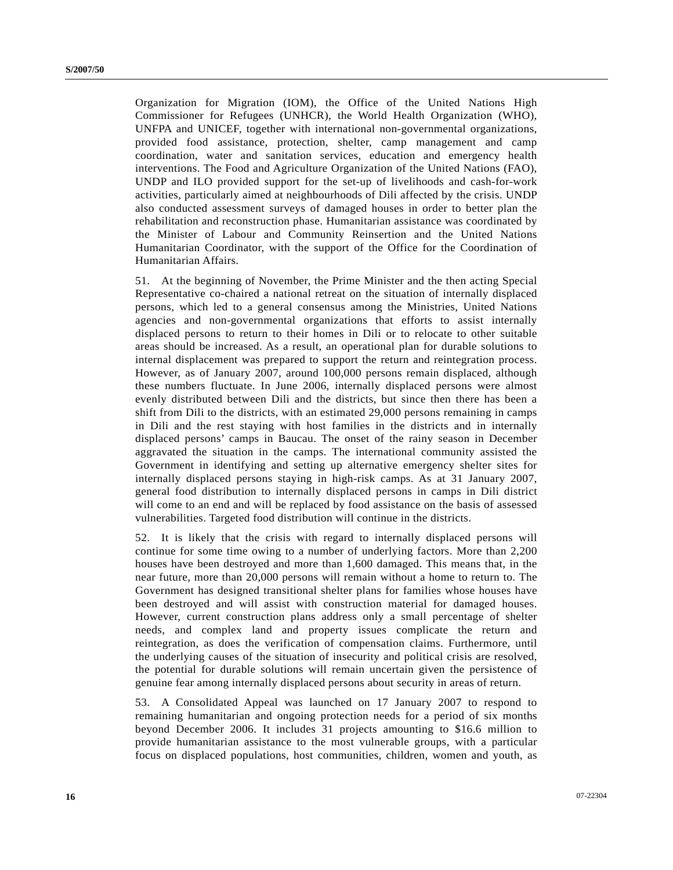Organization for Migration (IOM), the Office of the United Nations High Commissioner for Refugees (UNHCR), the World Health Organization (WHO), UNFPA and UNICEF, together with international non-governmental organizations, provided food assistance, protection, shelter, camp management and camp coordination, water and sanitation services, education and emergency health interventions. The Food and Agriculture Organization of the United Nations (FAO), UNDP and ILO provided support for the set-up of livelihoods and cash-for-work activities, particularly aimed at neighbourhoods of Dili affected by the crisis. UNDP also conducted assessment surveys of damaged houses in order to better plan the rehabilitation and reconstruction phase. Humanitarian assistance was coordinated by the Minister of Labour and Community Reinsertion and the United Nations Humanitarian Coordinator, with the support of the Office for the Coordination of Humanitarian Affairs.

51. At the beginning of November, the Prime Minister and the then acting Special Representative co-chaired a national retreat on the situation of internally displaced persons, which led to a general consensus among the Ministries, United Nations agencies and non-governmental organizations that efforts to assist internally displaced persons to return to their homes in Dili or to relocate to other suitable areas should be increased. As a result, an operational plan for durable solutions to internal displacement was prepared to support the return and reintegration process. However, as of January 2007, around 100,000 persons remain displaced, although these numbers fluctuate. In June 2006, internally displaced persons were almost evenly distributed between Dili and the districts, but since then there has been a shift from Dili to the districts, with an estimated 29,000 persons remaining in camps in Dili and the rest staying with host families in the districts and in internally displaced persons' camps in Baucau. The onset of the rainy season in December aggravated the situation in the camps. The international community assisted the Government in identifying and setting up alternative emergency shelter sites for internally displaced persons staying in high-risk camps. As at 31 January 2007, general food distribution to internally displaced persons in camps in Dili district will come to an end and will be replaced by food assistance on the basis of assessed vulnerabilities. Targeted food distribution will continue in the districts.

52. It is likely that the crisis with regard to internally displaced persons will continue for some time owing to a number of underlying factors. More than 2,200 houses have been destroyed and more than 1,600 damaged. This means that, in the near future, more than 20,000 persons will remain without a home to return to. The Government has designed transitional shelter plans for families whose houses have been destroyed and will assist with construction material for damaged houses. However, current construction plans address only a small percentage of shelter needs, and complex land and property issues complicate the return and reintegration, as does the verification of compensation claims. Furthermore, until the underlying causes of the situation of insecurity and political crisis are resolved, the potential for durable solutions will remain uncertain given the persistence of genuine fear among internally displaced persons about security in areas of return.

53. A Consolidated Appeal was launched on 17 January 2007 to respond to remaining humanitarian and ongoing protection needs for a period of six months beyond December 2006. It includes 31 projects amounting to \$16.6 million to provide humanitarian assistance to the most vulnerable groups, with a particular focus on displaced populations, host communities, children, women and youth, as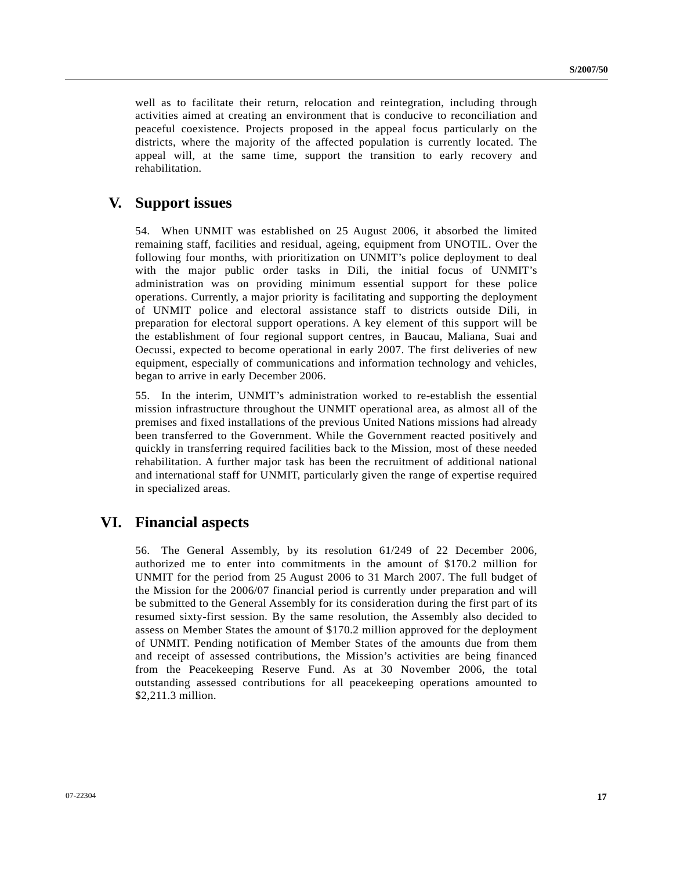well as to facilitate their return, relocation and reintegration, including through activities aimed at creating an environment that is conducive to reconciliation and peaceful coexistence. Projects proposed in the appeal focus particularly on the districts, where the majority of the affected population is currently located. The appeal will, at the same time, support the transition to early recovery and rehabilitation.

## **V. Support issues**

54. When UNMIT was established on 25 August 2006, it absorbed the limited remaining staff, facilities and residual, ageing, equipment from UNOTIL. Over the following four months, with prioritization on UNMIT's police deployment to deal with the major public order tasks in Dili, the initial focus of UNMIT's administration was on providing minimum essential support for these police operations. Currently, a major priority is facilitating and supporting the deployment of UNMIT police and electoral assistance staff to districts outside Dili, in preparation for electoral support operations. A key element of this support will be the establishment of four regional support centres, in Baucau, Maliana, Suai and Oecussi, expected to become operational in early 2007. The first deliveries of new equipment, especially of communications and information technology and vehicles, began to arrive in early December 2006.

55. In the interim, UNMIT's administration worked to re-establish the essential mission infrastructure throughout the UNMIT operational area, as almost all of the premises and fixed installations of the previous United Nations missions had already been transferred to the Government. While the Government reacted positively and quickly in transferring required facilities back to the Mission, most of these needed rehabilitation. A further major task has been the recruitment of additional national and international staff for UNMIT, particularly given the range of expertise required in specialized areas.

# **VI. Financial aspects**

56. The General Assembly, by its resolution 61/249 of 22 December 2006, authorized me to enter into commitments in the amount of \$170.2 million for UNMIT for the period from 25 August 2006 to 31 March 2007. The full budget of the Mission for the 2006/07 financial period is currently under preparation and will be submitted to the General Assembly for its consideration during the first part of its resumed sixty-first session. By the same resolution, the Assembly also decided to assess on Member States the amount of \$170.2 million approved for the deployment of UNMIT. Pending notification of Member States of the amounts due from them and receipt of assessed contributions, the Mission's activities are being financed from the Peacekeeping Reserve Fund. As at 30 November 2006, the total outstanding assessed contributions for all peacekeeping operations amounted to \$2,211.3 million.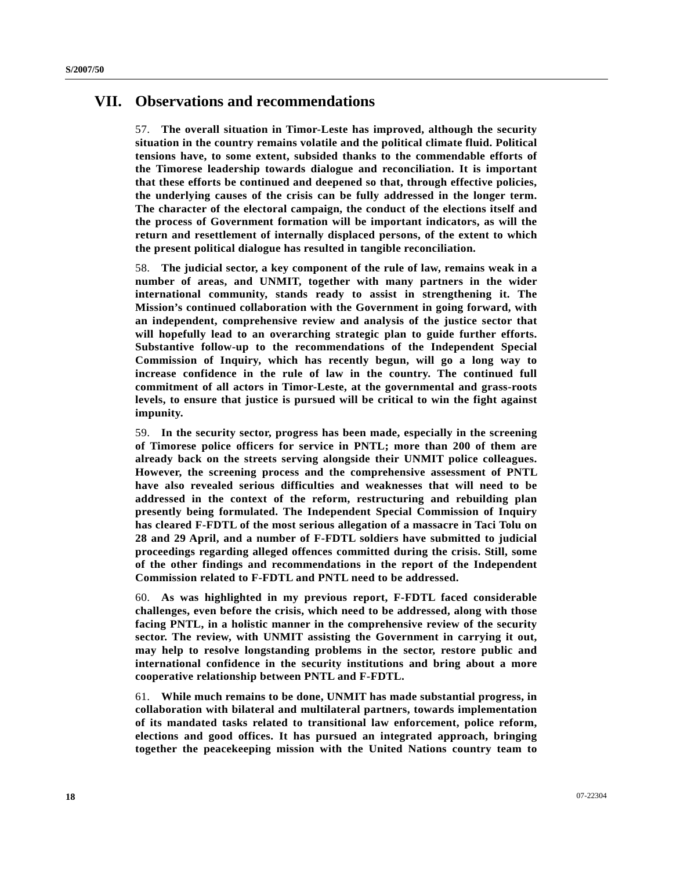## **VII. Observations and recommendations**

57. **The overall situation in Timor-Leste has improved, although the security situation in the country remains volatile and the political climate fluid. Political tensions have, to some extent, subsided thanks to the commendable efforts of the Timorese leadership towards dialogue and reconciliation. It is important that these efforts be continued and deepened so that, through effective policies, the underlying causes of the crisis can be fully addressed in the longer term. The character of the electoral campaign, the conduct of the elections itself and the process of Government formation will be important indicators, as will the return and resettlement of internally displaced persons, of the extent to which the present political dialogue has resulted in tangible reconciliation.** 

58. **The judicial sector, a key component of the rule of law, remains weak in a number of areas, and UNMIT, together with many partners in the wider international community, stands ready to assist in strengthening it. The Mission's continued collaboration with the Government in going forward, with an independent, comprehensive review and analysis of the justice sector that will hopefully lead to an overarching strategic plan to guide further efforts. Substantive follow-up to the recommendations of the Independent Special Commission of Inquiry, which has recently begun, will go a long way to increase confidence in the rule of law in the country. The continued full commitment of all actors in Timor-Leste, at the governmental and grass-roots levels, to ensure that justice is pursued will be critical to win the fight against impunity.**

59. **In the security sector, progress has been made, especially in the screening of Timorese police officers for service in PNTL; more than 200 of them are already back on the streets serving alongside their UNMIT police colleagues. However, the screening process and the comprehensive assessment of PNTL have also revealed serious difficulties and weaknesses that will need to be addressed in the context of the reform, restructuring and rebuilding plan presently being formulated. The Independent Special Commission of Inquiry has cleared F-FDTL of the most serious allegation of a massacre in Taci Tolu on 28 and 29 April, and a number of F-FDTL soldiers have submitted to judicial proceedings regarding alleged offences committed during the crisis. Still, some of the other findings and recommendations in the report of the Independent Commission related to F-FDTL and PNTL need to be addressed.**

60. **As was highlighted in my previous report, F-FDTL faced considerable challenges, even before the crisis, which need to be addressed, along with those facing PNTL, in a holistic manner in the comprehensive review of the security sector. The review, with UNMIT assisting the Government in carrying it out, may help to resolve longstanding problems in the sector, restore public and international confidence in the security institutions and bring about a more cooperative relationship between PNTL and F-FDTL.** 

61. **While much remains to be done, UNMIT has made substantial progress, in collaboration with bilateral and multilateral partners, towards implementation of its mandated tasks related to transitional law enforcement, police reform, elections and good offices. It has pursued an integrated approach, bringing together the peacekeeping mission with the United Nations country team to**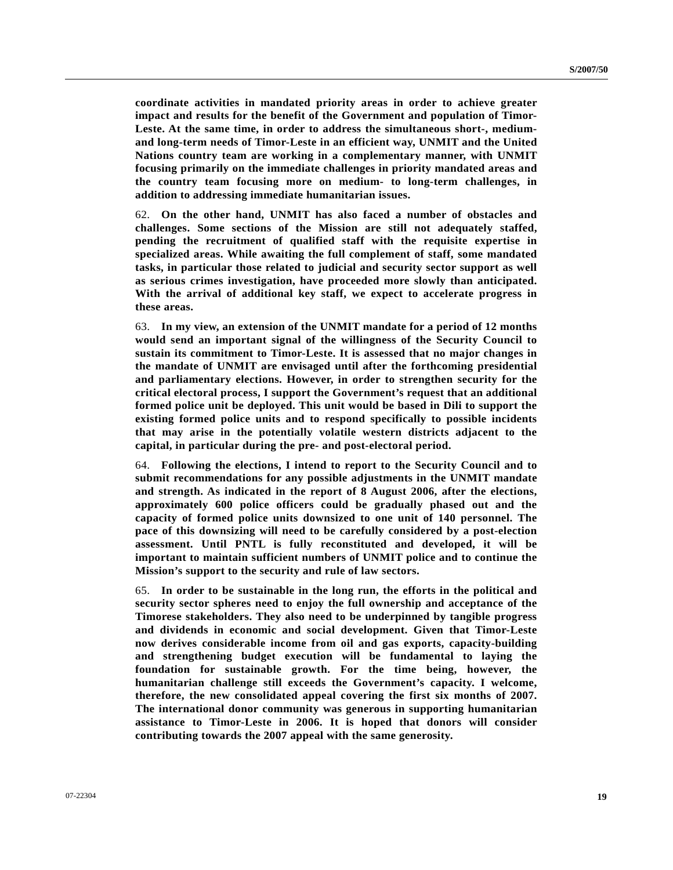**coordinate activities in mandated priority areas in order to achieve greater impact and results for the benefit of the Government and population of Timor-Leste. At the same time, in order to address the simultaneous short-, mediumand long-term needs of Timor-Leste in an efficient way, UNMIT and the United Nations country team are working in a complementary manner, with UNMIT focusing primarily on the immediate challenges in priority mandated areas and the country team focusing more on medium- to long-term challenges, in addition to addressing immediate humanitarian issues.**

62. **On the other hand, UNMIT has also faced a number of obstacles and challenges. Some sections of the Mission are still not adequately staffed, pending the recruitment of qualified staff with the requisite expertise in specialized areas. While awaiting the full complement of staff, some mandated tasks, in particular those related to judicial and security sector support as well as serious crimes investigation, have proceeded more slowly than anticipated. With the arrival of additional key staff, we expect to accelerate progress in these areas.** 

63. **In my view, an extension of the UNMIT mandate for a period of 12 months would send an important signal of the willingness of the Security Council to sustain its commitment to Timor-Leste. It is assessed that no major changes in the mandate of UNMIT are envisaged until after the forthcoming presidential and parliamentary elections. However, in order to strengthen security for the critical electoral process, I support the Government's request that an additional formed police unit be deployed. This unit would be based in Dili to support the existing formed police units and to respond specifically to possible incidents that may arise in the potentially volatile western districts adjacent to the capital, in particular during the pre- and post-electoral period.**

64. **Following the elections, I intend to report to the Security Council and to submit recommendations for any possible adjustments in the UNMIT mandate and strength. As indicated in the report of 8 August 2006, after the elections, approximately 600 police officers could be gradually phased out and the capacity of formed police units downsized to one unit of 140 personnel. The pace of this downsizing will need to be carefully considered by a post-election assessment. Until PNTL is fully reconstituted and developed, it will be important to maintain sufficient numbers of UNMIT police and to continue the Mission's support to the security and rule of law sectors.** 

65. **In order to be sustainable in the long run, the efforts in the political and security sector spheres need to enjoy the full ownership and acceptance of the Timorese stakeholders. They also need to be underpinned by tangible progress and dividends in economic and social development. Given that Timor-Leste now derives considerable income from oil and gas exports, capacity-building and strengthening budget execution will be fundamental to laying the foundation for sustainable growth. For the time being, however, the humanitarian challenge still exceeds the Government's capacity. I welcome, therefore, the new consolidated appeal covering the first six months of 2007. The international donor community was generous in supporting humanitarian assistance to Timor-Leste in 2006. It is hoped that donors will consider contributing towards the 2007 appeal with the same generosity.**